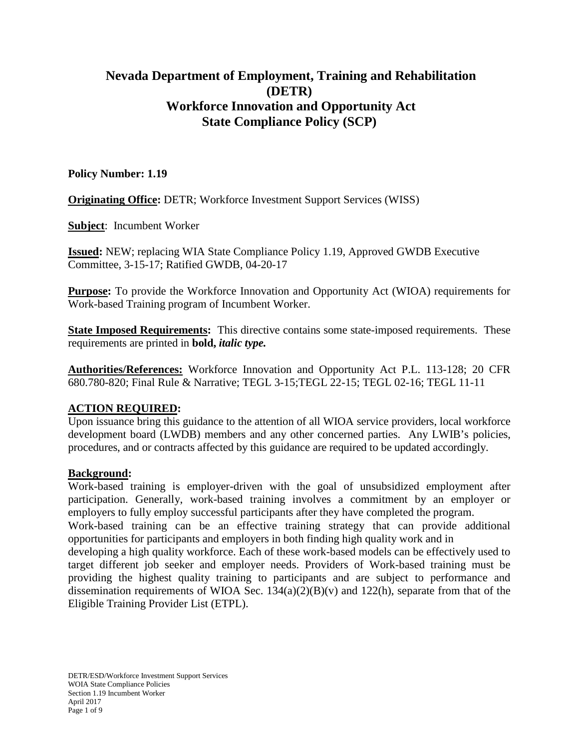# **Nevada Department of Employment, Training and Rehabilitation (DETR) Workforce Innovation and Opportunity Act State Compliance Policy (SCP)**

# **Policy Number: 1.19**

**Originating Office:** DETR; Workforce Investment Support Services (WISS)

**Subject**: Incumbent Worker

**Issued:** NEW; replacing WIA State Compliance Policy 1.19, Approved GWDB Executive Committee, 3-15-17; Ratified GWDB, 04-20-17

**Purpose:** To provide the Workforce Innovation and Opportunity Act (WIOA) requirements for Work-based Training program of Incumbent Worker.

**State Imposed Requirements:** This directive contains some state-imposed requirements. These requirements are printed in **bold,** *italic type.*

**Authorities/References:** Workforce Innovation and Opportunity Act P.L. 113-128; 20 CFR 680.780-820; Final Rule & Narrative; TEGL 3-15;TEGL 22-15; TEGL 02-16; TEGL 11-11

# **ACTION REQUIRED:**

Upon issuance bring this guidance to the attention of all WIOA service providers, local workforce development board (LWDB) members and any other concerned parties. Any LWIB's policies, procedures, and or contracts affected by this guidance are required to be updated accordingly.

# **Background:**

Work-based training is employer-driven with the goal of unsubsidized employment after participation. Generally, work-based training involves a commitment by an employer or employers to fully employ successful participants after they have completed the program. Work-based training can be an effective training strategy that can provide additional opportunities for participants and employers in both finding high quality work and in developing a high quality workforce. Each of these work-based models can be effectively used to target different job seeker and employer needs. Providers of Work-based training must be providing the highest quality training to participants and are subject to performance and dissemination requirements of WIOA Sec.  $134(a)(2)(B)(v)$  and  $122(h)$ , separate from that of the Eligible Training Provider List (ETPL).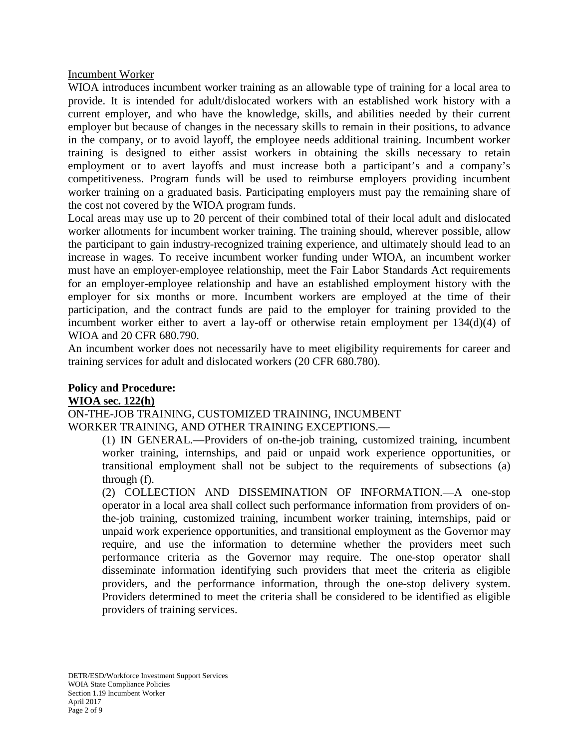Incumbent Worker

WIOA introduces incumbent worker training as an allowable type of training for a local area to provide. It is intended for adult/dislocated workers with an established work history with a current employer, and who have the knowledge, skills, and abilities needed by their current employer but because of changes in the necessary skills to remain in their positions, to advance in the company, or to avoid layoff, the employee needs additional training. Incumbent worker training is designed to either assist workers in obtaining the skills necessary to retain employment or to avert layoffs and must increase both a participant's and a company's competitiveness. Program funds will be used to reimburse employers providing incumbent worker training on a graduated basis. Participating employers must pay the remaining share of the cost not covered by the WIOA program funds.

Local areas may use up to 20 percent of their combined total of their local adult and dislocated worker allotments for incumbent worker training. The training should, wherever possible, allow the participant to gain industry-recognized training experience, and ultimately should lead to an increase in wages. To receive incumbent worker funding under WIOA, an incumbent worker must have an employer-employee relationship, meet the Fair Labor Standards Act requirements for an employer-employee relationship and have an established employment history with the employer for six months or more. Incumbent workers are employed at the time of their participation, and the contract funds are paid to the employer for training provided to the incumbent worker either to avert a lay-off or otherwise retain employment per 134(d)(4) of WIOA and 20 CFR 680.790.

An incumbent worker does not necessarily have to meet eligibility requirements for career and training services for adult and dislocated workers (20 CFR 680.780).

#### **Policy and Procedure: WIOA sec. 122(h)**

ON-THE-JOB TRAINING, CUSTOMIZED TRAINING, INCUMBENT WORKER TRAINING, AND OTHER TRAINING EXCEPTIONS.—

(1) IN GENERAL.—Providers of on-the-job training, customized training, incumbent worker training, internships, and paid or unpaid work experience opportunities, or transitional employment shall not be subject to the requirements of subsections (a) through (f).

(2) COLLECTION AND DISSEMINATION OF INFORMATION.—A one-stop operator in a local area shall collect such performance information from providers of onthe-job training, customized training, incumbent worker training, internships, paid or unpaid work experience opportunities, and transitional employment as the Governor may require, and use the information to determine whether the providers meet such performance criteria as the Governor may require. The one-stop operator shall disseminate information identifying such providers that meet the criteria as eligible providers, and the performance information, through the one-stop delivery system. Providers determined to meet the criteria shall be considered to be identified as eligible providers of training services.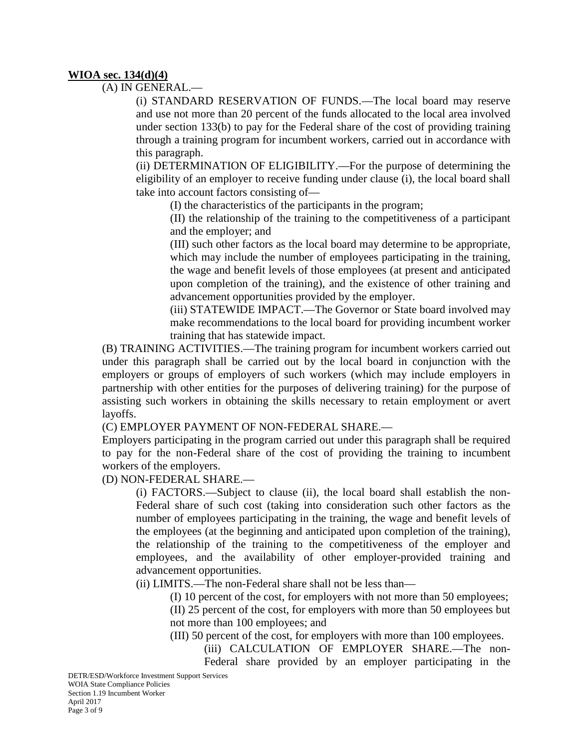#### **WIOA sec. 134(d)(4)**

(A) IN GENERAL.—

(i) STANDARD RESERVATION OF FUNDS.—The local board may reserve and use not more than 20 percent of the funds allocated to the local area involved under section 133(b) to pay for the Federal share of the cost of providing training through a training program for incumbent workers, carried out in accordance with this paragraph.

(ii) DETERMINATION OF ELIGIBILITY.—For the purpose of determining the eligibility of an employer to receive funding under clause (i), the local board shall take into account factors consisting of—

(I) the characteristics of the participants in the program;

(II) the relationship of the training to the competitiveness of a participant and the employer; and

(III) such other factors as the local board may determine to be appropriate, which may include the number of employees participating in the training, the wage and benefit levels of those employees (at present and anticipated upon completion of the training), and the existence of other training and advancement opportunities provided by the employer.

(iii) STATEWIDE IMPACT.—The Governor or State board involved may make recommendations to the local board for providing incumbent worker training that has statewide impact.

(B) TRAINING ACTIVITIES.—The training program for incumbent workers carried out under this paragraph shall be carried out by the local board in conjunction with the employers or groups of employers of such workers (which may include employers in partnership with other entities for the purposes of delivering training) for the purpose of assisting such workers in obtaining the skills necessary to retain employment or avert layoffs.

(C) EMPLOYER PAYMENT OF NON-FEDERAL SHARE.—

Employers participating in the program carried out under this paragraph shall be required to pay for the non-Federal share of the cost of providing the training to incumbent workers of the employers.

#### (D) NON-FEDERAL SHARE.—

(i) FACTORS.—Subject to clause (ii), the local board shall establish the non-Federal share of such cost (taking into consideration such other factors as the number of employees participating in the training, the wage and benefit levels of the employees (at the beginning and anticipated upon completion of the training), the relationship of the training to the competitiveness of the employer and employees, and the availability of other employer-provided training and advancement opportunities.

(ii) LIMITS.—The non-Federal share shall not be less than—

(I) 10 percent of the cost, for employers with not more than 50 employees;

(II) 25 percent of the cost, for employers with more than 50 employees but not more than 100 employees; and

(III) 50 percent of the cost, for employers with more than 100 employees.

(iii) CALCULATION OF EMPLOYER SHARE.—The non-Federal share provided by an employer participating in the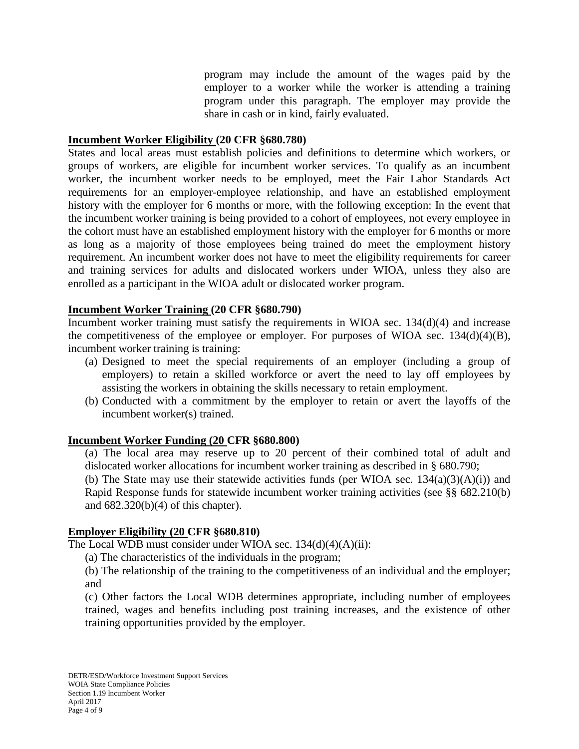program may include the amount of the wages paid by the employer to a worker while the worker is attending a training program under this paragraph. The employer may provide the share in cash or in kind, fairly evaluated.

#### **Incumbent Worker Eligibility (20 CFR §680.780)**

States and local areas must establish policies and definitions to determine which workers, or groups of workers, are eligible for incumbent worker services. To qualify as an incumbent worker, the incumbent worker needs to be employed, meet the Fair Labor Standards Act requirements for an employer-employee relationship, and have an established employment history with the employer for 6 months or more, with the following exception: In the event that the incumbent worker training is being provided to a cohort of employees, not every employee in the cohort must have an established employment history with the employer for 6 months or more as long as a majority of those employees being trained do meet the employment history requirement. An incumbent worker does not have to meet the eligibility requirements for career and training services for adults and dislocated workers under WIOA, unless they also are enrolled as a participant in the WIOA adult or dislocated worker program.

#### **Incumbent Worker Training (20 CFR §680.790)**

Incumbent worker training must satisfy the requirements in WIOA sec. 134(d)(4) and increase the competitiveness of the employee or employer. For purposes of WIOA sec.  $134(d)(4)(B)$ , incumbent worker training is training:

- (a) Designed to meet the special requirements of an employer (including a group of employers) to retain a skilled workforce or avert the need to lay off employees by assisting the workers in obtaining the skills necessary to retain employment.
- (b) Conducted with a commitment by the employer to retain or avert the layoffs of the incumbent worker(s) trained.

# **Incumbent Worker Funding (20 CFR §680.800)**

(a) The local area may reserve up to 20 percent of their combined total of adult and dislocated worker allocations for incumbent worker training as described in § 680.790;

(b) The State may use their statewide activities funds (per WIOA sec.  $134(a)(3)(A)(i)$ ) and Rapid Response funds for statewide incumbent worker training activities (see §§ 682.210(b) and 682.320(b)(4) of this chapter).

#### **Employer Eligibility (20 CFR §680.810)**

The Local WDB must consider under WIOA sec.  $134(d)(4)(A)(ii)$ :

(a) The characteristics of the individuals in the program;

(b) The relationship of the training to the competitiveness of an individual and the employer; and

(c) Other factors the Local WDB determines appropriate, including number of employees trained, wages and benefits including post training increases, and the existence of other training opportunities provided by the employer.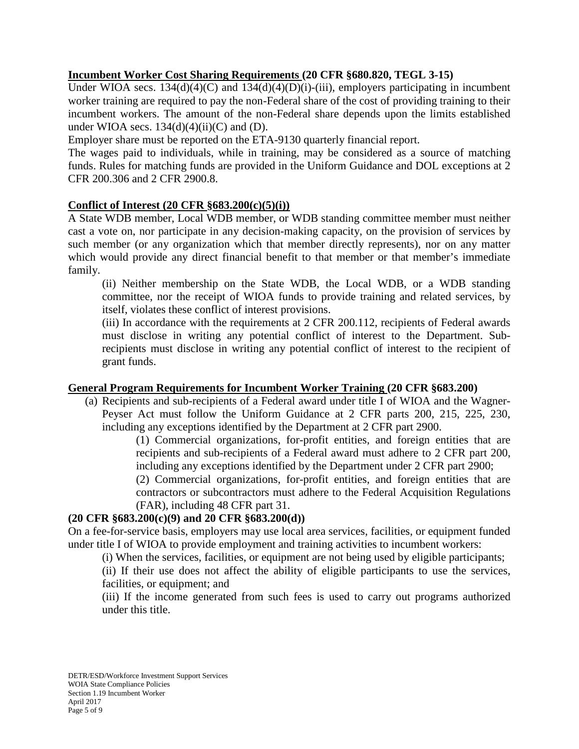# **Incumbent Worker Cost Sharing Requirements (20 CFR §680.820, TEGL 3-15)**

Under WIOA secs.  $134(d)(4)(C)$  and  $134(d)(4)(D)(i)$ -(iii), employers participating in incumbent worker training are required to pay the non-Federal share of the cost of providing training to their incumbent workers. The amount of the non-Federal share depends upon the limits established under WIOA secs.  $134(d)(4)(ii)(C)$  and (D).

Employer share must be reported on the ETA-9130 quarterly financial report.

The wages paid to individuals, while in training, may be considered as a source of matching funds. Rules for matching funds are provided in the Uniform Guidance and DOL exceptions at 2 CFR 200.306 and 2 CFR 2900.8.

#### **Conflict of Interest (20 CFR §683.200(c)(5)(i))**

A State WDB member, Local WDB member, or WDB standing committee member must neither cast a vote on, nor participate in any decision-making capacity, on the provision of services by such member (or any organization which that member directly represents), nor on any matter which would provide any direct financial benefit to that member or that member's immediate family.

(ii) Neither membership on the State WDB, the Local WDB, or a WDB standing committee, nor the receipt of WIOA funds to provide training and related services, by itself, violates these conflict of interest provisions.

(iii) In accordance with the requirements at 2 CFR 200.112, recipients of Federal awards must disclose in writing any potential conflict of interest to the Department. Subrecipients must disclose in writing any potential conflict of interest to the recipient of grant funds.

#### **General Program Requirements for Incumbent Worker Training (20 CFR §683.200)**

(a) Recipients and sub-recipients of a Federal award under title I of WIOA and the Wagner-Peyser Act must follow the Uniform Guidance at 2 CFR parts 200, 215, 225, 230, including any exceptions identified by the Department at 2 CFR part 2900.

> (1) Commercial organizations, for-profit entities, and foreign entities that are recipients and sub-recipients of a Federal award must adhere to 2 CFR part 200, including any exceptions identified by the Department under 2 CFR part 2900;

> (2) Commercial organizations, for-profit entities, and foreign entities that are contractors or subcontractors must adhere to the Federal Acquisition Regulations (FAR), including 48 CFR part 31.

# **(20 CFR §683.200(c)(9) and 20 CFR §683.200(d))**

On a fee-for-service basis, employers may use local area services, facilities, or equipment funded under title I of WIOA to provide employment and training activities to incumbent workers:

(i) When the services, facilities, or equipment are not being used by eligible participants;

(ii) If their use does not affect the ability of eligible participants to use the services, facilities, or equipment; and

(iii) If the income generated from such fees is used to carry out programs authorized under this title.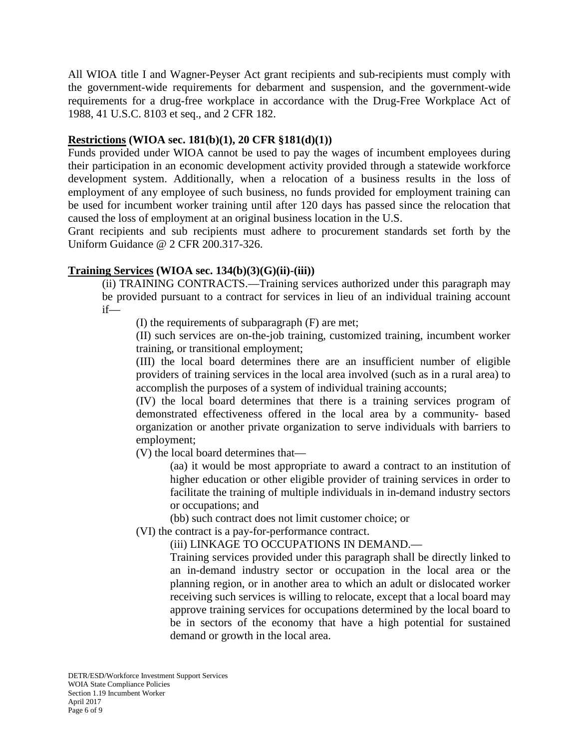All WIOA title I and Wagner-Peyser Act grant recipients and sub-recipients must comply with the government-wide requirements for debarment and suspension, and the government-wide requirements for a drug-free workplace in accordance with the Drug-Free Workplace Act of 1988, 41 U.S.C. 8103 et seq., and 2 CFR 182.

# **Restrictions (WIOA sec. 181(b)(1), 20 CFR §181(d)(1))**

Funds provided under WIOA cannot be used to pay the wages of incumbent employees during their participation in an economic development activity provided through a statewide workforce development system. Additionally, when a relocation of a business results in the loss of employment of any employee of such business, no funds provided for employment training can be used for incumbent worker training until after 120 days has passed since the relocation that caused the loss of employment at an original business location in the U.S.

Grant recipients and sub recipients must adhere to procurement standards set forth by the Uniform Guidance @ 2 CFR 200.317-326.

#### **Training Services (WIOA sec. 134(b)(3)(G)(ii)-(iii))**

(ii) TRAINING CONTRACTS.—Training services authorized under this paragraph may be provided pursuant to a contract for services in lieu of an individual training account if—

(I) the requirements of subparagraph (F) are met;

(II) such services are on-the-job training, customized training, incumbent worker training, or transitional employment;

(III) the local board determines there are an insufficient number of eligible providers of training services in the local area involved (such as in a rural area) to accomplish the purposes of a system of individual training accounts;

(IV) the local board determines that there is a training services program of demonstrated effectiveness offered in the local area by a community- based organization or another private organization to serve individuals with barriers to employment;

(V) the local board determines that—

(aa) it would be most appropriate to award a contract to an institution of higher education or other eligible provider of training services in order to facilitate the training of multiple individuals in in-demand industry sectors or occupations; and

(bb) such contract does not limit customer choice; or

(VI) the contract is a pay-for-performance contract.

(iii) LINKAGE TO OCCUPATIONS IN DEMAND.—

Training services provided under this paragraph shall be directly linked to an in-demand industry sector or occupation in the local area or the planning region, or in another area to which an adult or dislocated worker receiving such services is willing to relocate, except that a local board may approve training services for occupations determined by the local board to be in sectors of the economy that have a high potential for sustained demand or growth in the local area.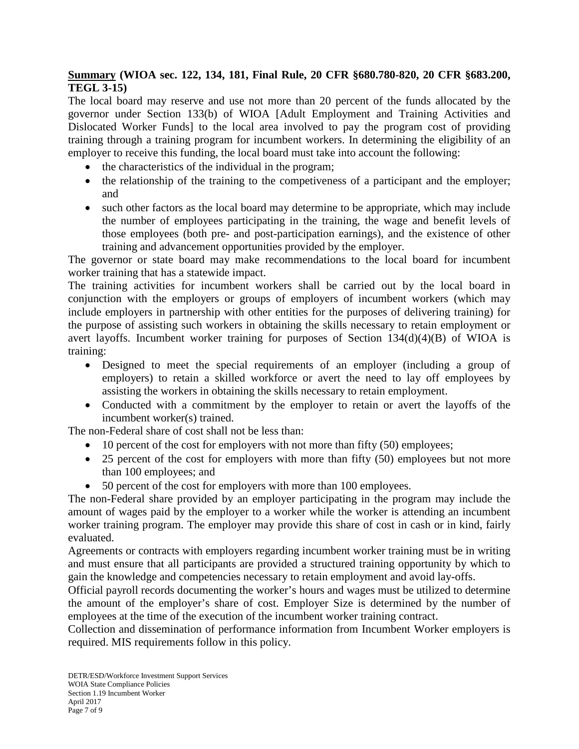# **Summary (WIOA sec. 122, 134, 181, Final Rule, 20 CFR §680.780-820, 20 CFR §683.200, TEGL 3-15)**

The local board may reserve and use not more than 20 percent of the funds allocated by the governor under Section 133(b) of WIOA [Adult Employment and Training Activities and Dislocated Worker Funds] to the local area involved to pay the program cost of providing training through a training program for incumbent workers. In determining the eligibility of an employer to receive this funding, the local board must take into account the following:

- the characteristics of the individual in the program;
- the relationship of the training to the competiveness of a participant and the employer; and
- such other factors as the local board may determine to be appropriate, which may include the number of employees participating in the training, the wage and benefit levels of those employees (both pre- and post-participation earnings), and the existence of other training and advancement opportunities provided by the employer.

The governor or state board may make recommendations to the local board for incumbent worker training that has a statewide impact.

The training activities for incumbent workers shall be carried out by the local board in conjunction with the employers or groups of employers of incumbent workers (which may include employers in partnership with other entities for the purposes of delivering training) for the purpose of assisting such workers in obtaining the skills necessary to retain employment or avert layoffs. Incumbent worker training for purposes of Section  $134(d)(4)(B)$  of WIOA is training:

- Designed to meet the special requirements of an employer (including a group of employers) to retain a skilled workforce or avert the need to lay off employees by assisting the workers in obtaining the skills necessary to retain employment.
- Conducted with a commitment by the employer to retain or avert the layoffs of the incumbent worker(s) trained.

The non-Federal share of cost shall not be less than:

- 10 percent of the cost for employers with not more than fifty (50) employees;
- 25 percent of the cost for employers with more than fifty (50) employees but not more than 100 employees; and
- 50 percent of the cost for employers with more than 100 employees.

The non-Federal share provided by an employer participating in the program may include the amount of wages paid by the employer to a worker while the worker is attending an incumbent worker training program. The employer may provide this share of cost in cash or in kind, fairly evaluated.

Agreements or contracts with employers regarding incumbent worker training must be in writing and must ensure that all participants are provided a structured training opportunity by which to gain the knowledge and competencies necessary to retain employment and avoid lay-offs.

Official payroll records documenting the worker's hours and wages must be utilized to determine the amount of the employer's share of cost. Employer Size is determined by the number of employees at the time of the execution of the incumbent worker training contract.

Collection and dissemination of performance information from Incumbent Worker employers is required. MIS requirements follow in this policy.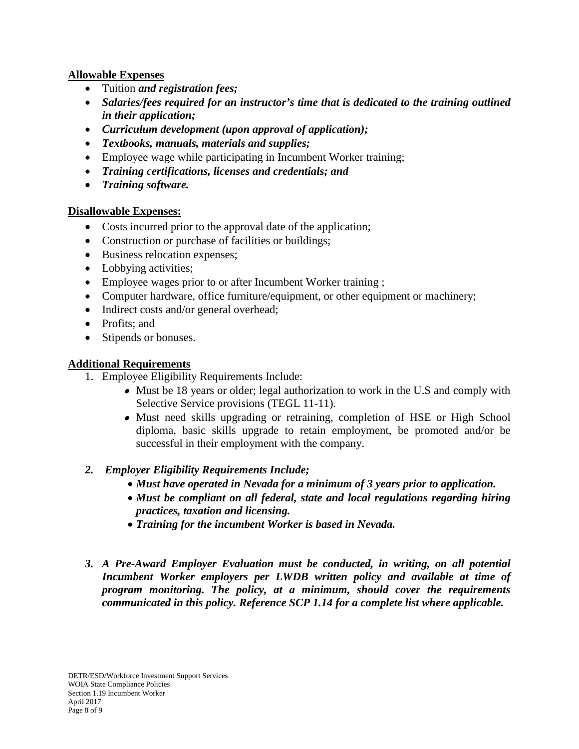# **Allowable Expenses**

- Tuition *and registration fees;*
- *Salaries/fees required for an instructor's time that is dedicated to the training outlined in their application;*
- *Curriculum development (upon approval of application);*
- *Textbooks, manuals, materials and supplies;*
- Employee wage while participating in Incumbent Worker training;
- *Training certifications, licenses and credentials; and*
- *Training software.*

#### **Disallowable Expenses:**

- Costs incurred prior to the approval date of the application;
- Construction or purchase of facilities or buildings;
- Business relocation expenses;
- Lobbying activities;
- Employee wages prior to or after Incumbent Worker training ;
- Computer hardware, office furniture/equipment, or other equipment or machinery;
- Indirect costs and/or general overhead;
- Profits: and
- Stipends or bonuses.

# **Additional Requirements**

- 1. Employee Eligibility Requirements Include:
	- Must be 18 years or older; legal authorization to work in the U.S and comply with Selective Service provisions (TEGL 11-11).
	- Must need skills upgrading or retraining, completion of HSE or High School diploma, basic skills upgrade to retain employment, be promoted and/or be successful in their employment with the company.

# *2. Employer Eligibility Requirements Include;*

- *Must have operated in Nevada for a minimum of 3 years prior to application.*
- *Must be compliant on all federal, state and local regulations regarding hiring practices, taxation and licensing.*
- *Training for the incumbent Worker is based in Nevada.*
- *3. A Pre-Award Employer Evaluation must be conducted, in writing, on all potential Incumbent Worker employers per LWDB written policy and available at time of program monitoring. The policy, at a minimum, should cover the requirements communicated in this policy. Reference SCP 1.14 for a complete list where applicable.*